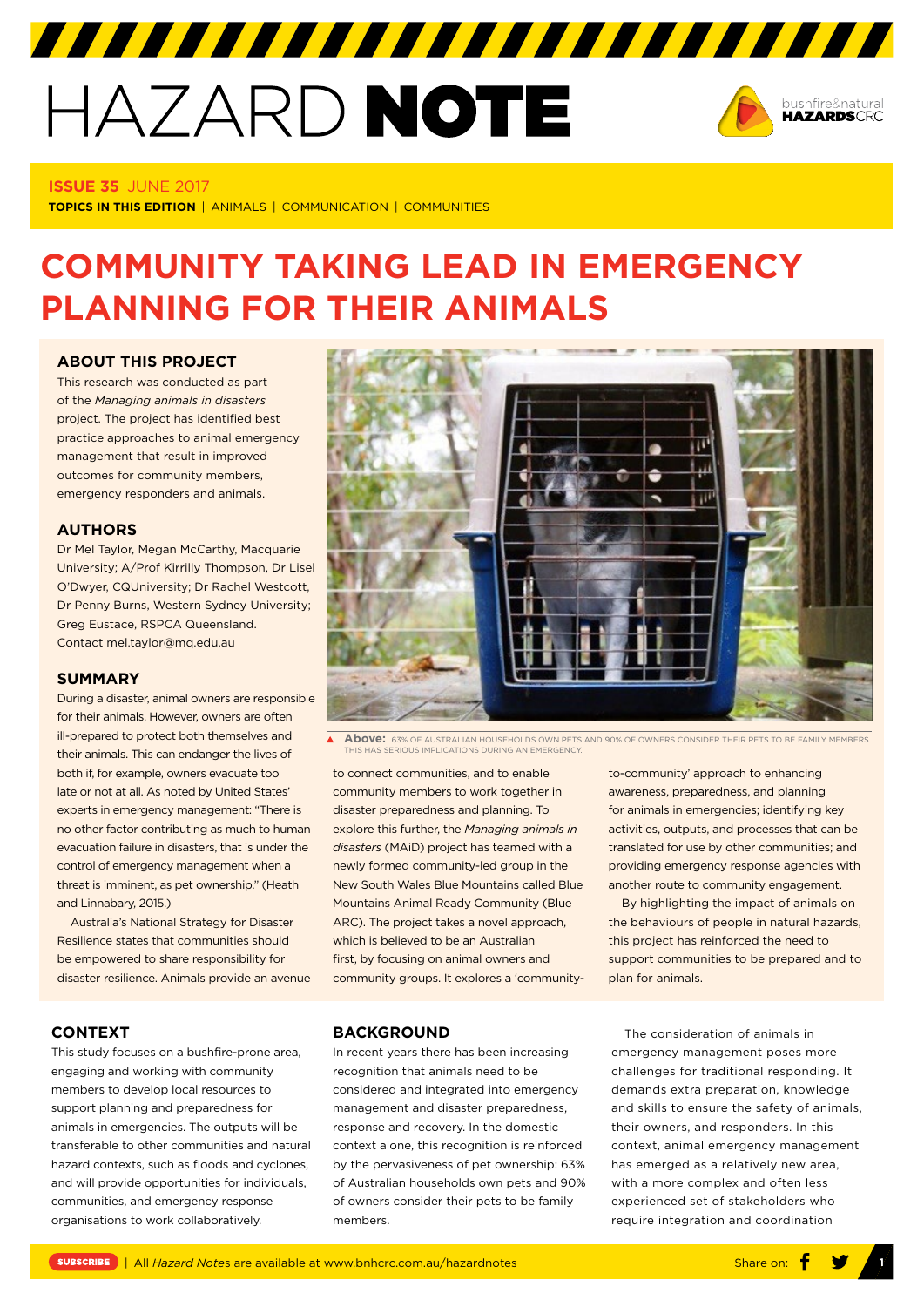# HAZARD NOTE



#### **ISSUE 35** JUNE 2017

**TOPICS IN THIS EDITION** | ANIMALS | COMMUNICATION | COMMUNITIES

# **COMMUNITY TAKING LEAD IN EMERGENCY PLANNING FOR THEIR ANIMALS**

#### **ABOUT THIS PROJECT**

This research was conducted as part of the *[Managing animals in disasters](http://www.bnhcrc.com.au/research/hazard-resilience/237)* project. The project has identified best practice approaches to animal emergency management that result in improved outcomes for community members, emergency responders and animals.

#### **AUTHORS**

Dr Mel Taylor, Megan McCarthy, Macquarie University; A/Prof Kirrilly Thompson, Dr Lisel O'Dwyer, CQUniversity; Dr Rachel Westcott, Dr Penny Burns, Western Sydney University; Greg Eustace, RSPCA Queensland. Contact mel.taylor@mq.edu.au

#### **SUMMARY**

During a disaster, animal owners are responsible for their animals. However, owners are often ill-prepared to protect both themselves and their animals. This can endanger the lives of both if, for example, owners evacuate too late or not at all. As noted by United States' experts in emergency management: "There is no other factor contributing as much to human evacuation failure in disasters, that is under the control of emergency management when a threat is imminent, as pet ownership." (Heath and Linnabary, 2015.)

Australia's National Strategy for Disaster Resilience states that communities should be empowered to share responsibility for disaster resilience. Animals provide an avenue

#### **CONTEXT**

This study focuses on a bushfire-prone area, engaging and working with community members to develop local resources to support planning and preparedness for animals in emergencies. The outputs will be transferable to other communities and natural hazard contexts, such as floods and cyclones, and will provide opportunities for individuals, communities, and emergency response organisations to work collaboratively.



 $\mathbf{A}^{\top}$ **Above:** 63% OF AUSTRALIAN HOUSEHOLDS OWN PETS AND 90% OF OWNERS CONSIDER THEIR PETS TO BE FAMILY MEMBERS THIS HAS SERIOUS IMPLICATIONS DURING AN EMERGENCY.

to connect communities, and to enable community members to work together in disaster preparedness and planning. To explore this further, the *Managing animals in disasters* (MAiD) project has teamed with a newly formed community-led group in the New South Wales Blue Mountains called Blue Mountains Animal Ready Community (Blue ARC). The project takes a novel approach, which is believed to be an Australian first, by focusing on animal owners and community groups. It explores a 'communityto-community' approach to enhancing awareness, preparedness, and planning for animals in emergencies; identifying key activities, outputs, and processes that can be translated for use by other communities; and providing emergency response agencies with another route to community engagement.

By highlighting the impact of animals on the behaviours of people in natural hazards, this project has reinforced the need to support communities to be prepared and to plan for animals.

#### **BACKGROUND**

In recent years there has been increasing recognition that animals need to be considered and integrated into emergency management and disaster preparedness, response and recovery. In the domestic context alone, this recognition is reinforced by the pervasiveness of pet ownership: 63% of Australian households own pets and 90% of owners consider their pets to be family members.

The consideration of animals in emergency management poses more challenges for traditional responding. It demands extra preparation, knowledge and skills to ensure the safety of animals, their owners, and responders. In this context, animal emergency management has emerged as a relatively new area, with a more complex and often less experienced set of stakeholders who require integration and coordination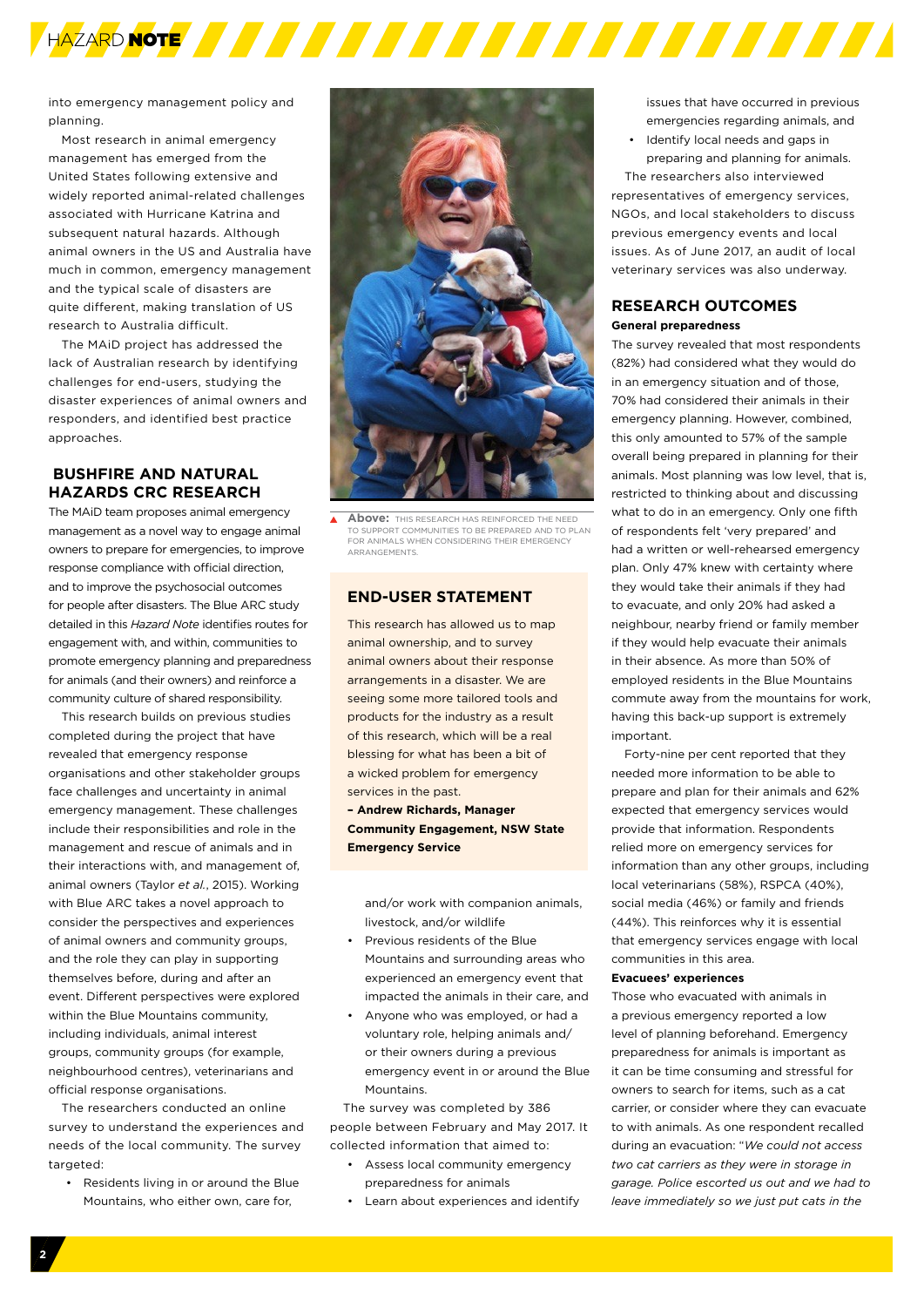

into emergency management policy and planning.

Most research in animal emergency management has emerged from the United States following extensive and widely reported animal-related challenges associated with Hurricane Katrina and subsequent natural hazards. Although animal owners in the US and Australia have much in common, emergency management and the typical scale of disasters are quite different, making translation of US research to Australia difficult.

The MAiD project has addressed the lack of Australian research by identifying challenges for end-users, studying the disaster experiences of animal owners and responders, and identified best practice approaches

#### **BUSHFIRE AND NATURAL HAZARDS CRC RESEARCH**

The MAiD team proposes animal emergency management as a novel way to engage animal owners to prepare for emergencies, to improve response compliance with official direction, and to improve the psychosocial outcomes for people after disasters. The Blue ARC study detailed in this *Hazard Note* identifies routes for engagement with, and within, communities to promote emergency planning and preparedness for animals (and their owners) and reinforce a community culture of shared responsibility.

This research builds on previous studies completed during the project that have revealed that emergency response organisations and other stakeholder groups face challenges and uncertainty in animal emergency management. These challenges include their responsibilities and role in the management and rescue of animals and in their interactions with, and management of, animal owners (Taylor *et al.*, 2015). Working with Blue ARC takes a novel approach to consider the perspectives and experiences of animal owners and community groups, and the role they can play in supporting themselves before, during and after an event. Different perspectives were explored within the Blue Mountains community, including individuals, animal interest groups, community groups (for example, neighbourhood centres), veterinarians and official response organisations.

The researchers conducted an online survey to understand the experiences and needs of the local community. The survey targeted:

• Residents living in or around the Blue Mountains, who either own, care for,



**Above:** THIS RESEARCH HAS REINFORCED THE NEED TO SUPPORT COMMUNITIES TO BE PREPARED AND TO PLAN FOR ANIMALS WHEN CONSIDERING THEIR EMERGENCY ARRANGEMENTS.

#### **END-USER STATEMENT**

This research has allowed us to man animal ownership, and to survey animal owners about their response arrangements in a disaster. We are seeing some more tailored tools and products for the industry as a result of this research, which will be a real blessing for what has been a bit of a wicked problem for emergency services in the past.

**– Andrew Richards, Manager Community Engagement, NSW State Emergency Service** 

and/or work with companion animals, livestock, and/or wildlife

- Previous residents of the Blue Mountains and surrounding areas who experienced an emergency event that impacted the animals in their care, and
- Anyone who was employed, or had a voluntary role, helping animals and/ or their owners during a previous emergency event in or around the Blue Mountains.

The survey was completed by 386 people between February and May 2017. It collected information that aimed to:

- Assess local community emergency preparedness for animals
- Learn about experiences and identify

issues that have occurred in previous emergencies regarding animals, and

• Identify local needs and gaps in preparing and planning for animals.

The researchers also interviewed representatives of emergency services, NGOs, and local stakeholders to discuss previous emergency events and local issues. As of June 2017, an audit of local veterinary services was also underway.

#### **RESEARCH OUTCOMES General preparedness**

The survey revealed that most respondents (82%) had considered what they would do in an emergency situation and of those, 70% had considered their animals in their emergency planning. However, combined, this only amounted to 57% of the sample overall being prepared in planning for their animals. Most planning was low level, that is, restricted to thinking about and discussing what to do in an emergency. Only one fifth of respondents felt 'very prepared' and had a written or well-rehearsed emergency plan. Only 47% knew with certainty where they would take their animals if they had to evacuate, and only 20% had asked a neighbour, nearby friend or family member if they would help evacuate their animals in their absence. As more than 50% of employed residents in the Blue Mountains commute away from the mountains for work, having this back-up support is extremely important.

Forty-nine per cent reported that they needed more information to be able to prepare and plan for their animals and 62% expected that emergency services would provide that information. Respondents relied more on emergency services for information than any other groups, including local veterinarians (58%), RSPCA (40%), social media (46%) or family and friends (44%). This reinforces why it is essential that emergency services engage with local communities in this area.

#### **Evacuees' experiences**

Those who evacuated with animals in a previous emergency reported a low level of planning beforehand. Emergency preparedness for animals is important as it can be time consuming and stressful for owners to search for items, such as a cat carrier, or consider where they can evacuate to with animals. As one respondent recalled during an evacuation: "*We could not access two cat carriers as they were in storage in garage. Police escorted us out and we had to leave immediately so we just put cats in the*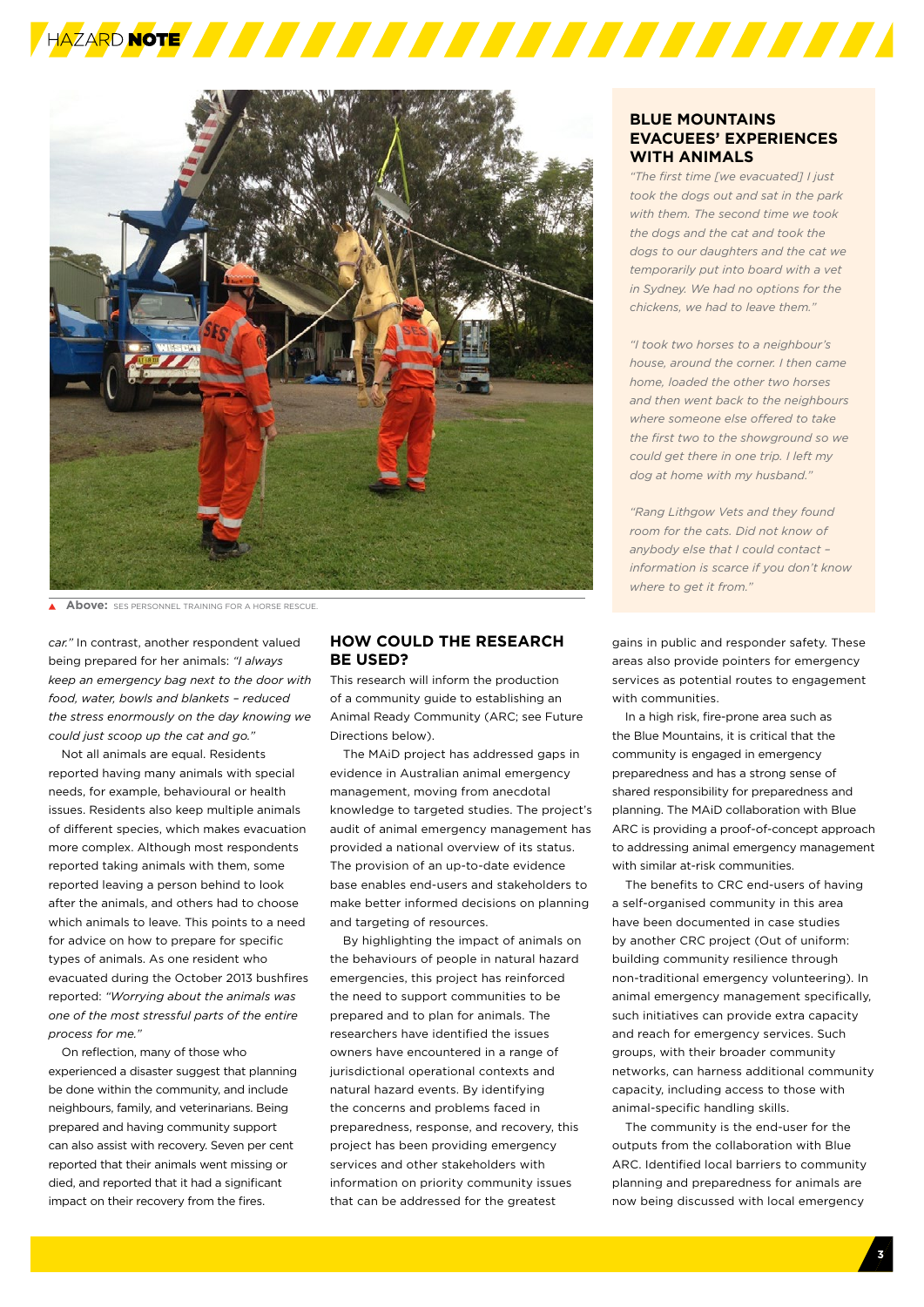



**Above:** SES PERSONNEL TRAINING FOR A HORSE RESCUE.

*car."* In contrast, another respondent valued being prepared for her animals: *"I always keep an emergency bag next to the door with food, water, bowls and blankets – reduced the stress enormously on the day knowing we could just scoop up the cat and go."*

Not all animals are equal. Residents reported having many animals with special needs, for example, behavioural or health issues. Residents also keep multiple animals of different species, which makes evacuation more complex. Although most respondents reported taking animals with them, some reported leaving a person behind to look after the animals, and others had to choose which animals to leave. This points to a need for advice on how to prepare for specific types of animals. As one resident who evacuated during the October 2013 bushfires reported: *"Worrying about the animals was one of the most stressful parts of the entire process for me."*

On reflection, many of those who experienced a disaster suggest that planning be done within the community, and include neighbours, family, and veterinarians. Being prepared and having community support can also assist with recovery. Seven per cent reported that their animals went missing or died, and reported that it had a significant impact on their recovery from the fires.

#### **HOW COULD THE RESEARCH BE USED?**

This research will inform the production of a community guide to establishing an Animal Ready Community (ARC; see Future Directions below).

The MAiD project has addressed gaps in evidence in Australian animal emergency management, moving from anecdotal knowledge to targeted studies. The project's audit of animal emergency management has provided a national overview of its status. The provision of an up-to-date evidence base enables end-users and stakeholders to make better informed decisions on planning and targeting of resources.

By highlighting the impact of animals on the behaviours of people in natural hazard emergencies, this project has reinforced the need to support communities to be prepared and to plan for animals. The researchers have identified the issues owners have encountered in a range of jurisdictional operational contexts and natural hazard events. By identifying the concerns and problems faced in preparedness, response, and recovery, this project has been providing emergency services and other stakeholders with information on priority community issues that can be addressed for the greatest

#### **BLUE MOUNTAINS EVACUEES' EXPERIENCES WITH ANIMALS**

*"The first time [we evacuated] I just took the dogs out and sat in the park with them. The second time we took the dogs and the cat and took the dogs to our daughters and the cat we temporarily put into board with a vet in Sydney. We had no options for the chickens, we had to leave them."*

*"I took two horses to a neighbour's house, around the corner. I then came home, loaded the other two horses and then went back to the neighbours where someone else offered to take the first two to the showground so we could get there in one trip. I left my dog at home with my husband."*

*"Rang Lithgow Vets and they found room for the cats. Did not know of anybody else that I could contact – information is scarce if you don't know where to get it from."*

gains in public and responder safety. These areas also provide pointers for emergency services as potential routes to engagement with communities.

In a high risk, fire-prone area such as the Blue Mountains, it is critical that the community is engaged in emergency preparedness and has a strong sense of shared responsibility for preparedness and planning. The MAiD collaboration with Blue ARC is providing a proof-of-concept approach to addressing animal emergency management with similar at-risk communities.

The benefits to CRC end-users of having a self-organised community in this area have been documented in case studies by another CRC project (Out of uniform: building community resilience through non-traditional emergency volunteering). In animal emergency management specifically, such initiatives can provide extra capacity and reach for emergency services. Such groups, with their broader community networks, can harness additional community capacity, including access to those with animal-specific handling skills.

The community is the end-user for the outputs from the collaboration with Blue ARC. Identified local barriers to community planning and preparedness for animals are now being discussed with local emergency